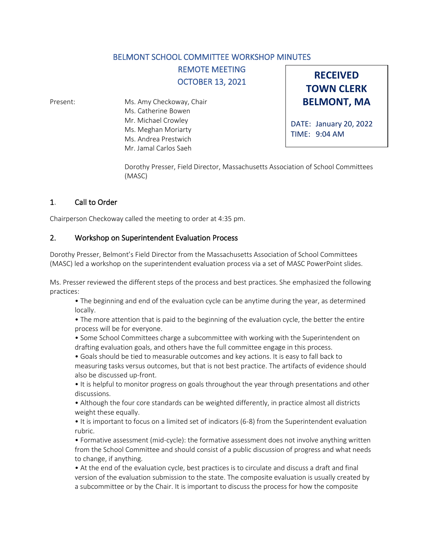## BELMONT SCHOOL COMMITTEE WORKSHOP MINUTES

REMOTE MEETING OCTOBER 13, 2021

Present: Ms. Amy Checkoway, Chair Ms. Catherine Bowen Mr. Michael Crowley Ms. Meghan Moriarty Ms. Andrea Prestwich Mr. Jamal Carlos Saeh

**RECEIVED TOWN CLERK BELMONT, MA**

DATE: January 20, 2022 TIME: 9:04 AM

Dorothy Presser, Field Director, Massachusetts Association of School Committees (MASC)

## 1. Call to Order

Chairperson Checkoway called the meeting to order at 4:35 pm.

## 2. Workshop on Superintendent Evaluation Process

Dorothy Presser, Belmont's Field Director from the Massachusetts Association of School Committees (MASC) led a workshop on the superintendent evaluation process via a set of MASC PowerPoint slides.

Ms. Presser reviewed the different steps of the process and best practices. She emphasized the following practices:

• The beginning and end of the evaluation cycle can be anytime during the year, as determined locally.

• The more attention that is paid to the beginning of the evaluation cycle, the better the entire process will be for everyone.

• Some School Committees charge a subcommittee with working with the Superintendent on drafting evaluation goals, and others have the full committee engage in this process.

• Goals should be tied to measurable outcomes and key actions. It is easy to fall back to measuring tasks versus outcomes, but that is not best practice. The artifacts of evidence should also be discussed up-front.

• It is helpful to monitor progress on goals throughout the year through presentations and other discussions.

• Although the four core standards can be weighted differently, in practice almost all districts weight these equally.

• It is important to focus on a limited set of indicators (6-8) from the Superintendent evaluation rubric.

• Formative assessment (mid-cycle): the formative assessment does not involve anything written from the School Committee and should consist of a public discussion of progress and what needs to change, if anything.

• At the end of the evaluation cycle, best practices is to circulate and discuss a draft and final version of the evaluation submission to the state. The composite evaluation is usually created by a subcommittee or by the Chair. It is important to discuss the process for how the composite